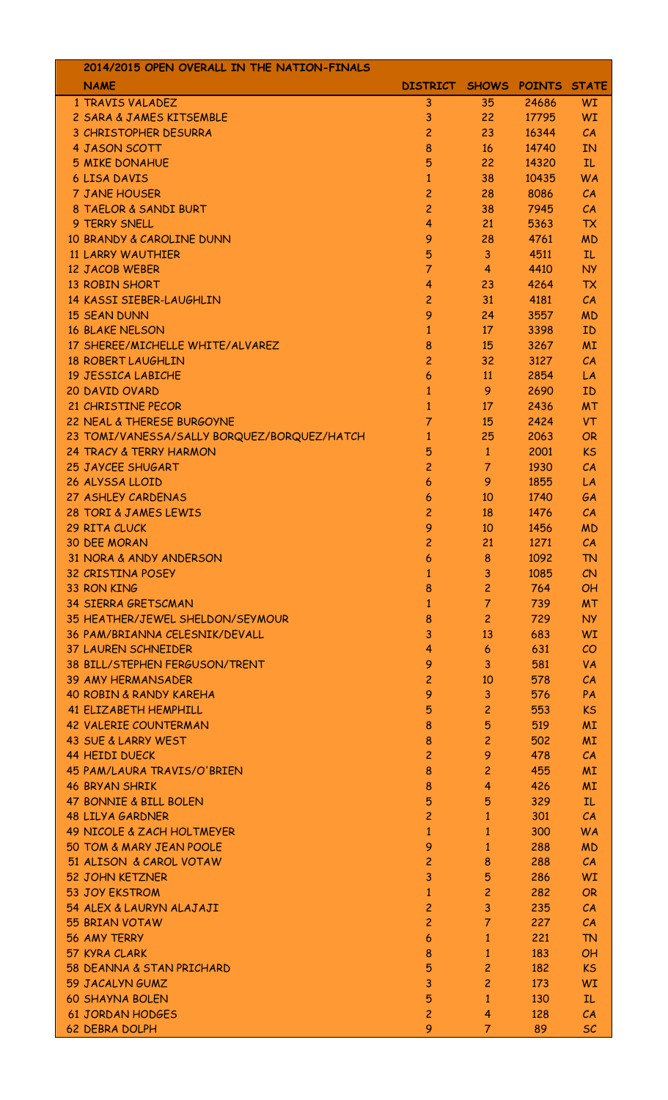| 2014/2015 OPEN OVERALL IN THE NATION-FINALS |                             |                         |       |           |
|---------------------------------------------|-----------------------------|-------------------------|-------|-----------|
| <b>NAME</b>                                 | DISTRICT SHOWS POINTS STATE |                         |       |           |
| 1 TRAVIS VALADEZ                            | 3                           | 35                      | 24686 | WI        |
| 2 SARA & JAMES KITSEMBLE                    | 3                           | 22                      | 17795 | <b>WI</b> |
| 3 CHRISTOPHER DESURRA                       | $\overline{c}$              | 23                      | 16344 | CA        |
| 4 JASON SCOTT                               | 8                           | 16                      | 14740 | <b>IN</b> |
| <b>5 MIKE DONAHUE</b>                       | 5                           | 22                      | 14320 | IL.       |
| <b>6 LISA DAVIS</b>                         | $\mathbf{1}$                | 38                      | 10435 | <b>WA</b> |
| 7 JANE HOUSER                               | $\overline{c}$              | 28                      | 8086  | CA        |
| 8 TAELOR & SANDI BURT                       | $\overline{c}$              | 38                      | 7945  | CA        |
| 9 TERRY SNELL                               | 4                           | 21                      | 5363  | <b>TX</b> |
| 10 BRANDY & CAROLINE DUNN                   | 9                           | 28                      | 4761  | <b>MD</b> |
| <b>11 LARRY WAUTHIER</b>                    | 5                           | 3                       | 4511  | IL.       |
| <b>12 JACOB WEBER</b>                       | $\overline{7}$              | 4                       | 4410  | <b>NY</b> |
| <b>13 ROBIN SHORT</b>                       | 4                           | 23                      | 4264  | <b>TX</b> |
| 14 KASSI SIEBER-LAUGHLIN                    | $\overline{c}$              | 31                      | 4181  | CA        |
| <b>15 SEAN DUNN</b>                         | 9                           | 24                      | 3557  | <b>MD</b> |
| <b>16 BLAKE NELSON</b>                      | 1                           | 17                      | 3398  | ID        |
| 17 SHEREE/MICHELLE WHITE/ALVAREZ            | 8                           | 15                      | 3267  | <b>MI</b> |
| <b>18 ROBERT LAUGHLIN</b>                   | $\overline{c}$              | 32                      | 3127  | CA        |
| 19 JESSICA LABICHE                          | 6                           | 11                      | 2854  | LA        |
| 20 DAVID OVARD                              | $\mathbf{1}$                | 9                       | 2690  | ID        |
| 21 CHRISTINE PECOR                          | 1                           | 17                      | 2436  | <b>MT</b> |
| 22 NEAL & THERESE BURGOYNE                  | 7                           | 15                      | 2424  | <b>VT</b> |
|                                             |                             |                         |       |           |
| 23 TOMI/VANESSA/SALLY BORQUEZ/BORQUEZ/HATCH | 1                           | 25                      | 2063  | <b>OR</b> |
| 24 TRACY & TERRY HARMON                     | 5                           | $\mathbf{1}$            | 2001  | <b>KS</b> |
| 25 JAYCEE SHUGART                           | $\overline{c}$              | $\overline{7}$          | 1930  | CA        |
| 26 ALYSSA LLOID                             | 6                           | 9                       | 1855  | LA        |
| 27 ASHLEY CARDENAS                          | 6                           | 10                      | 1740  | GA        |
| 28 TORI & JAMES LEWIS                       | $\overline{c}$              | 18                      | 1476  | CA        |
| 29 RITA CLUCK                               | 9                           | 10                      | 1456  | <b>MD</b> |
| <b>30 DEE MORAN</b>                         | $\overline{c}$              | 21                      | 1271  | CA        |
| 31 NORA & ANDY ANDERSON                     | 6                           | 8                       | 1092  | <b>TN</b> |
| <b>32 CRISTINA POSEY</b>                    | 1                           | 3                       | 1085  | CN        |
| 33 RON KING                                 | 8                           | $\overline{c}$          | 764   | <b>OH</b> |
| <b>34 SIERRA GRETSCMAN</b>                  | 1                           | 7                       | 739   | <b>MT</b> |
| 35 HEATHER/JEWEL SHELDON/SEYMOUR            | 8                           | $\overline{c}$          | 729   | <b>NY</b> |
| 36 PAM/BRIANNA CELESNIK/DEVALL              | 3                           | 13                      | 683   | <b>WI</b> |
| <b>37 LAUREN SCHNEIDER</b>                  | 4                           | 6                       | 631   | CO        |
| 38 BILL/STEPHEN FERGUSON/TRENT              | 9                           | 3                       | 581   | VA        |
| <b>39 AMY HERMANSADER</b>                   | $\overline{c}$              | 10                      | 578   | CA        |
| <b>40 ROBIN &amp; RANDY KAREHA</b>          | 9                           | 3                       | 576   | PA        |
| <b>41 ELIZABETH HEMPHILL</b>                | 5                           | $\overline{\mathsf{c}}$ | 553   | <b>KS</b> |
| <b>42 VALERIE COUNTERMAN</b>                | 8                           | 5                       | 519   | <b>MI</b> |
| 43 SUE & LARRY WEST                         | 8                           | $\overline{c}$          | 502   | <b>MI</b> |
| <b>44 HEIDI DUECK</b>                       | $\overline{c}$              | 9                       | 478   | CA        |
| 45 PAM/LAURA TRAVIS/O'BRIEN                 | 8                           | 2                       | 455   | <b>MI</b> |
| <b>46 BRYAN SHRIK</b>                       | 8                           | 4                       | 426   | <b>MI</b> |
| 47 BONNIE & BILL BOLEN                      | 5                           | 5                       | 329   | IL        |
| <b>48 LILYA GARDNER</b>                     | $\overline{\mathsf{c}}$     | 1                       | 301   | CA        |
| <b>49 NICOLE &amp; ZACH HOLTMEYER</b>       | 1                           | 1                       | 300   | <b>WA</b> |
| 50 TOM & MARY JEAN POOLE                    | 9                           | 1                       | 288   | <b>MD</b> |
| 51 ALISON & CAROL VOTAW                     | $\overline{c}$              | 8                       | 288   | CA        |
| <b>52 JOHN KETZNER</b>                      | 3                           | 5                       | 286   | WI        |
| <b>53 JOY EKSTROM</b>                       | 1                           | $\overline{c}$          | 282   | <b>OR</b> |
| 54 ALEX & LAURYN ALAJAJI                    | $\overline{c}$              | 3                       | 235   | CA        |
| 55 BRIAN VOTAW                              | $\overline{c}$              | 7                       | 227   | CA        |
| 56 AMY TERRY                                | 6                           | 1                       | 221   | <b>TN</b> |
| 57 KYRA CLARK                               | 8                           | 1                       | 183   | <b>OH</b> |
| 58 DEANNA & STAN PRICHARD                   | 5                           | 2                       | 182   | <b>KS</b> |
| 59 JACALYN GUMZ                             | 3                           | $\overline{c}$          | 173   | <b>WI</b> |
| <b>60 SHAYNA BOLEN</b>                      | 5                           | 1                       | 130   | <b>IL</b> |
| <b>61 JORDAN HODGES</b>                     | $\overline{c}$              | 4                       | 128   | CA        |
| <b>62 DEBRA DOLPH</b>                       | 9                           | 7                       | 89    | SC        |